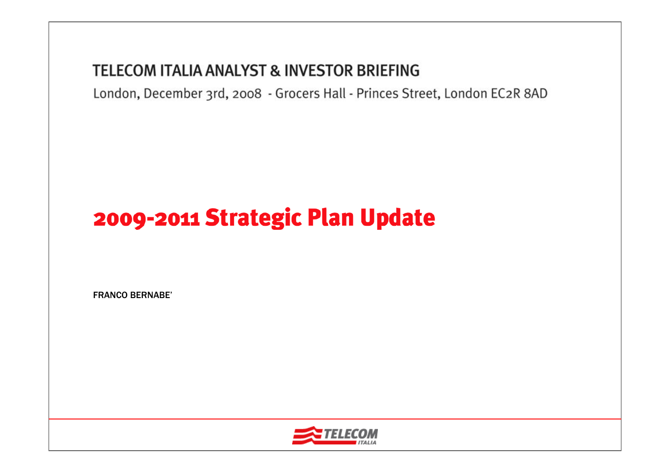### **TELECOM ITALIA ANALYST & INVESTOR BRIEFING**

London, December 3rd, 2008 - Grocers Hall - Princes Street, London EC2R 8AD

# 2009-2011 Strategic Plan Update

FRANCO BERNABE'

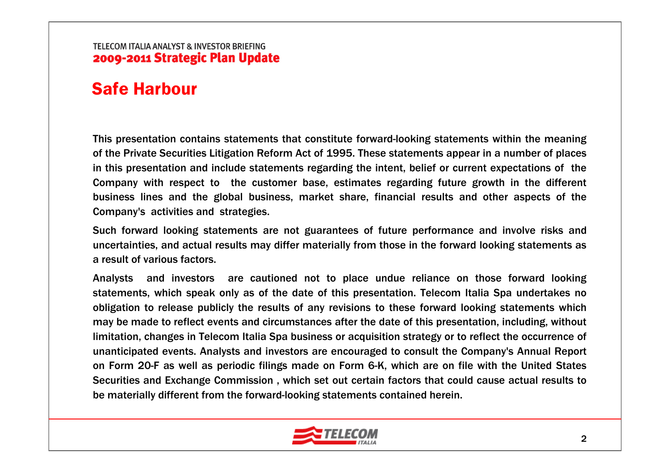### Safe Harbour

This presentation contains statements that constitute forward-looking statements within the meaning of the Private Securities Litigation Reform Act of 1995. These statements appear in a number of places in this presentation and include statements regarding the intent, belief or current expectations of the Company with respect to the customer base, estimates regarding future growth in the different business lines and the global business, market share, financial results and other aspects of the Company's activities and strategies.

Such forward looking statements are not guarantees of future performance and involve risks and uncertainties, and actual results may differ materially from those in the forward looking statements as a result of various factors.

Analysts and investors are cautioned not to place undue reliance on those forward looking statements, which speak only as of the date of this presentation. Telecom Italia Spa undertakes no obligation to release publicly the results of any revisions to these forward looking statements which may be made to reflect events and circumstances after the date of this presentation, including, without limitation, changes in Telecom Italia Spa business or acquisition strategy or to reflect the occurrence of unanticipated events. Analysts and investors are encouraged to consult the Company's Annual Report on Form 20-F as well as periodic filings made on Form 6-K, which are on file with the United States Securities and Exchange Commission , which set out certain factors that could cause actual results to be materially different from the forward-looking statements contained herein.

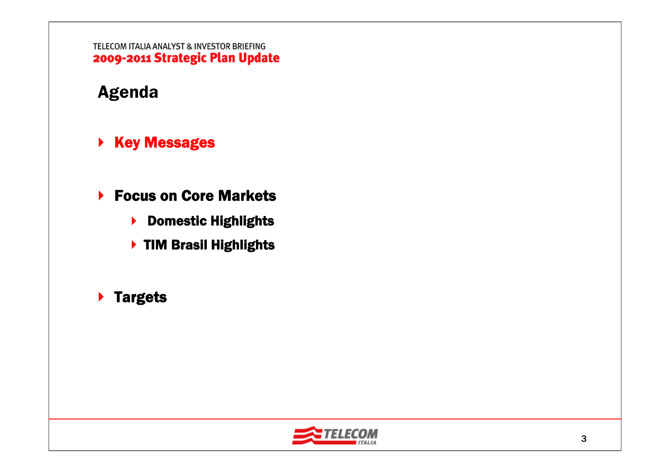# Agenda

- ▶ Key Messages
- ▶ Focus on Core Markets
	- ▶ Domestic Highlights
	- ▶ TIM Brasil Highlights
- **▶ Targets**

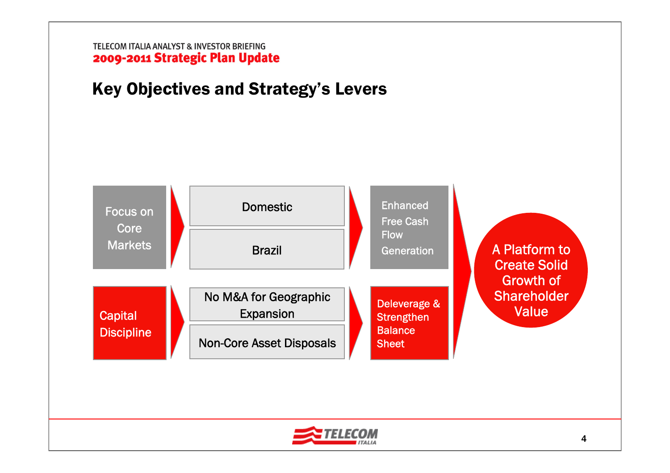# Key Objectives and Strategy's Levers



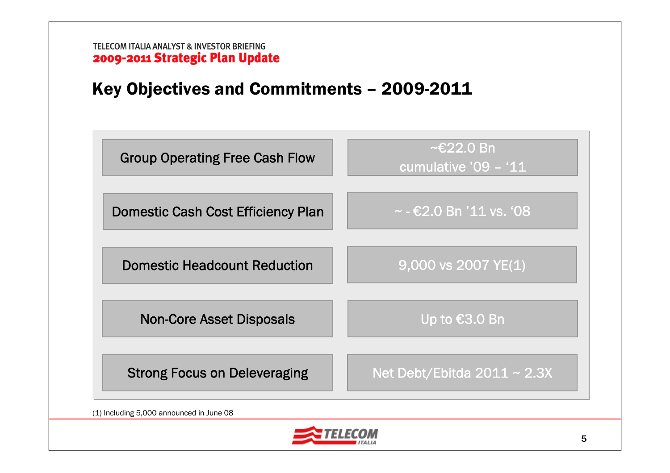# Key Objectives and Commitments – 2009-2011



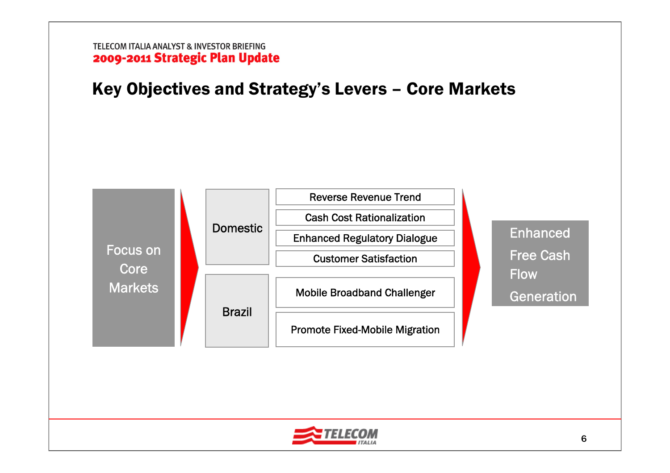Key Objectives and Strategy's Levers – Core Markets



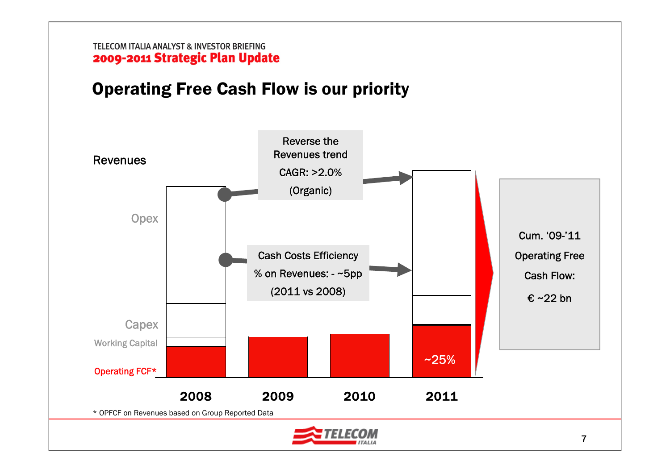# Operating Free Cash Flow is our priority

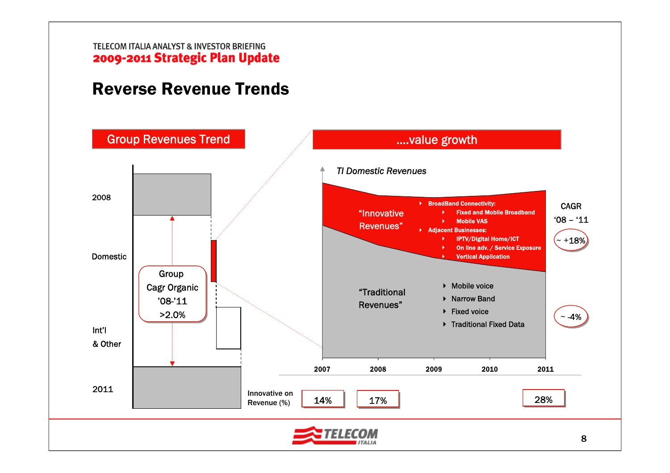# Reverse Revenue Trends

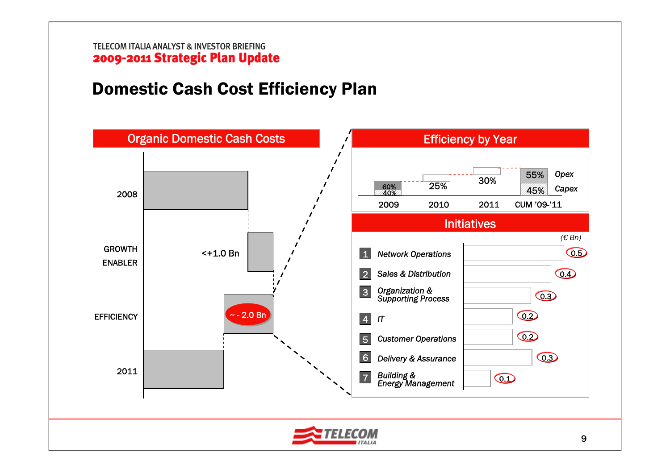# Domestic Cash Cost Efficiency Plan

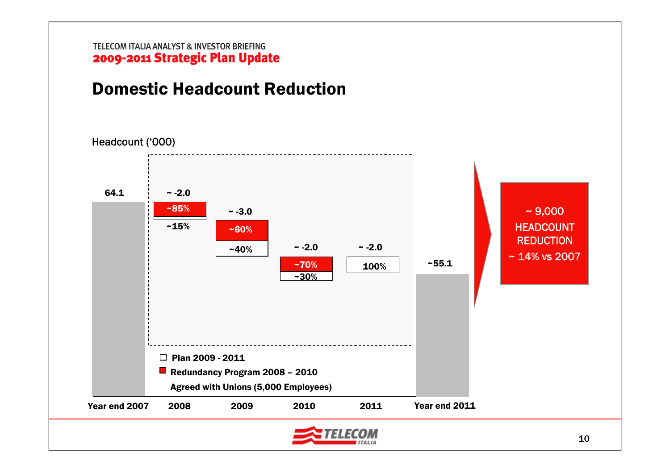# Domestic Headcount Reduction

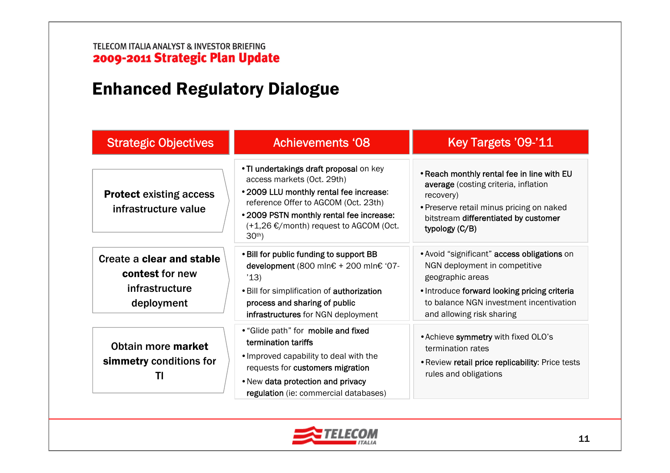# Enhanced Regulatory Dialogue

| <b>Strategic Objectives</b>                                                  | Achievements '08                                                                                                                                                                                                                                           | Key Targets '09-'11                                                                                                                                                                                                      |
|------------------------------------------------------------------------------|------------------------------------------------------------------------------------------------------------------------------------------------------------------------------------------------------------------------------------------------------------|--------------------------------------------------------------------------------------------------------------------------------------------------------------------------------------------------------------------------|
| <b>Protect existing access</b><br>infrastructure value                       | . TI undertakings draft proposal on key<br>access markets (Oct. 29th)<br>• 2009 LLU monthly rental fee increase:<br>reference Offer to AGCOM (Oct. 23th)<br>• 2009 PSTN monthly rental fee increase:<br>(+1,26 €/month) request to AGCOM (Oct.<br>$30th$ ) | . Reach monthly rental fee in line with EU<br>average (costing criteria, inflation<br>recovery)<br>• Preserve retail minus pricing on naked<br>bitstream differentiated by customer<br>typology (C/B)                    |
| Create a clear and stable<br>contest for new<br>infrastructure<br>deployment | . Bill for public funding to support BB<br>development (800 mln€ + 200 mln€ '07-<br>'13)<br>. Bill for simplification of authorization<br>process and sharing of public<br>infrastructures for NGN deployment                                              | . Avoid "significant" access obligations on<br>NGN deployment in competitive<br>geographic areas<br>. Introduce forward looking pricing criteria<br>to balance NGN investment incentivation<br>and allowing risk sharing |
| Obtain more market<br>simmetry conditions for<br>Ш                           | • "Glide path" for mobile and fixed<br>termination tariffs<br>. Improved capability to deal with the<br>requests for customers migration<br>. New data protection and privacy<br>regulation (ie: commercial databases)                                     | . Achieve symmetry with fixed OLO's<br>termination rates<br>. Review retail price replicability: Price tests<br>rules and obligations                                                                                    |

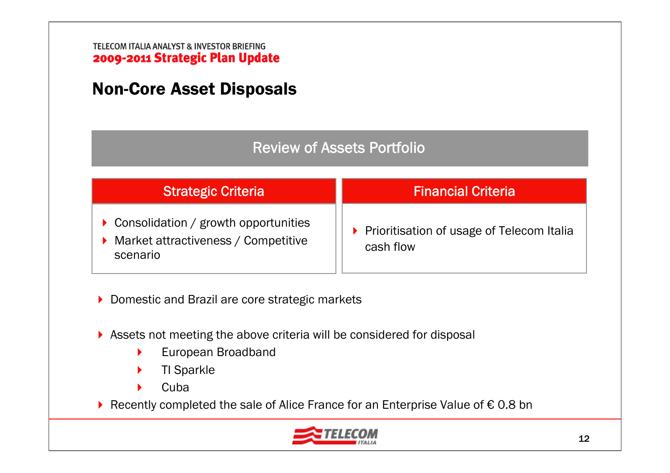# Non-Core Asset Disposals

### Review of Assets Portfolio

| Strategic Criteria                                                                          | <b>Financial Criteria</b>                                |
|---------------------------------------------------------------------------------------------|----------------------------------------------------------|
| ▶ Consolidation / growth opportunities<br>▶ Market attractiveness / Competitive<br>scenario | ▶ Prioritisation of usage of Telecom Italia<br>cash flow |

▶ Domestic and Brazil are core strategic markets

- Assets not meeting the above criteria will be considered for disposal
	- $\blacktriangleright$ European Broadband
	- $\blacktriangleright$ TI Sparkle
	- ь **Cuba**

Recently completed the sale of Alice France for an Enterprise Value of € 0.8 bn

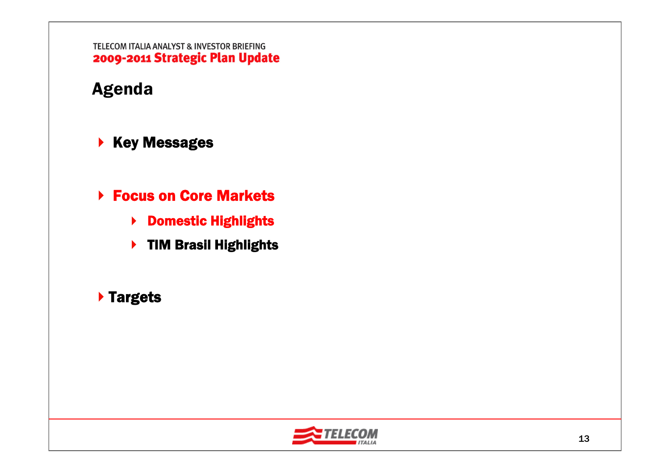# Agenda

- $\blacktriangleright$  Key Messages
- **▶ Focus on Core Markets** 
	- ▶ Domestic Highlights
	- ▶ TIM Brasil Highlights

### Targets

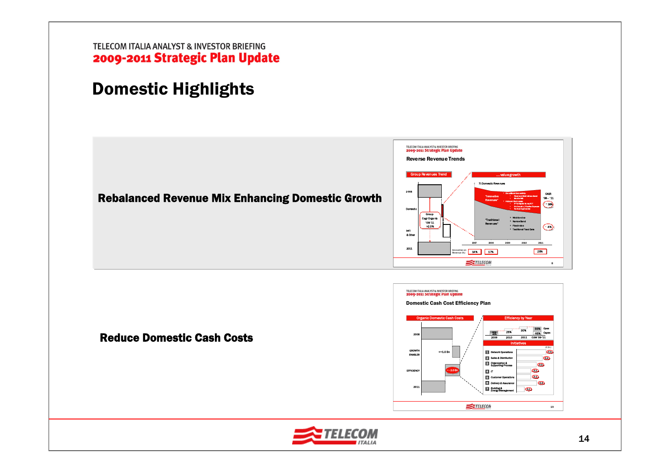# Domestic Highlights



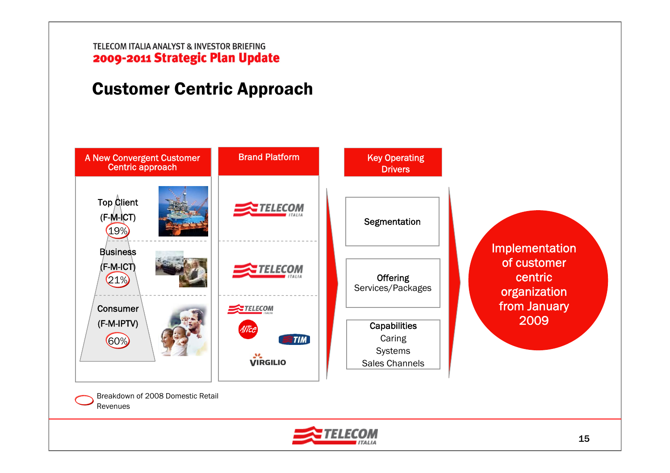# Customer Centric Approach



Breakdown of 2008 Domestic Retail Revenues

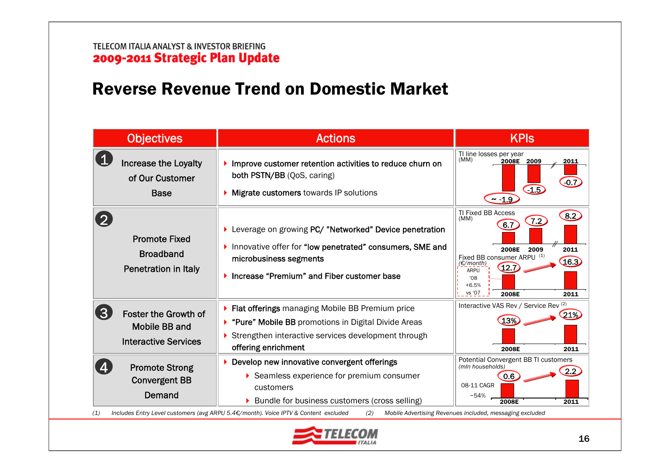# Reverse Revenue Trend on Domestic Market

| TI line losses per year<br>(MM)<br>2008E 2009<br>2011<br><b>Increase the Loyalty</b><br>Improve customer retention activities to reduce churn on<br>both PSTN/BB (QoS, caring)<br>of Our Customer<br>$-0.7$<br>$-1.5$<br><b>Migrate customers towards IP solutions</b><br><b>Base</b><br>~1.9<br>TI Fixed BB Access<br>$\left[8.2\right]$<br>(MM)<br>7.2<br>6.7<br>▶ Leverage on growing PC/ "Networked" Device penetration<br><b>Promote Fixed</b><br>Innovative offer for "low penetrated" consumers, SME and<br>2009<br>2011<br>2008E<br><b>Broadband</b><br>Fixed BB consumer ARPU (1)<br>microbusiness segments<br>(€/month)<br>12.<br>Penetration in Italy<br><b>ARPU</b><br>Increase "Premium" and Fiber customer base<br>08'<br>$+6.5%$<br>vs '07<br>2008E<br>2011<br>Interactive VAS Rev / Service Rev (2)<br>▶ Flat offerings managing Mobile BB Premium price<br>3<br><b>Foster the Growth of</b><br>21%<br>13%<br>"Pure" Mobile BB promotions in Digital Divide Areas<br><b>Mobile BB and</b><br>Strengthen interactive services development through<br><b>Interactive Services</b><br>offering enrichment<br>2008E<br>2011<br>Potential Convergent BB TI customers<br>Develop new innovative convergent offerings<br><b>Promote Strong</b><br>(mln households)<br>Seamless experience for premium consumer<br>0.6 | <b>Objectives</b>    | <b>Actions</b> | <b>KPIS</b> |
|--------------------------------------------------------------------------------------------------------------------------------------------------------------------------------------------------------------------------------------------------------------------------------------------------------------------------------------------------------------------------------------------------------------------------------------------------------------------------------------------------------------------------------------------------------------------------------------------------------------------------------------------------------------------------------------------------------------------------------------------------------------------------------------------------------------------------------------------------------------------------------------------------------------------------------------------------------------------------------------------------------------------------------------------------------------------------------------------------------------------------------------------------------------------------------------------------------------------------------------------------------------------------------------------------------------------------------|----------------------|----------------|-------------|
|                                                                                                                                                                                                                                                                                                                                                                                                                                                                                                                                                                                                                                                                                                                                                                                                                                                                                                                                                                                                                                                                                                                                                                                                                                                                                                                                |                      |                |             |
|                                                                                                                                                                                                                                                                                                                                                                                                                                                                                                                                                                                                                                                                                                                                                                                                                                                                                                                                                                                                                                                                                                                                                                                                                                                                                                                                |                      |                | (16.3)      |
|                                                                                                                                                                                                                                                                                                                                                                                                                                                                                                                                                                                                                                                                                                                                                                                                                                                                                                                                                                                                                                                                                                                                                                                                                                                                                                                                |                      |                |             |
| 08-11 CAGR<br>customers<br>Demand<br>$~54\%$<br>▶ Bundle for business customers (cross selling)<br>2008E<br>2011<br>Includes Entry Level customers (avg ARPU 5.4€/month). Voice IPTV & Content excluded<br>Mobile Advertising Revenues included, messaging excluded<br>(1)<br>(2)                                                                                                                                                                                                                                                                                                                                                                                                                                                                                                                                                                                                                                                                                                                                                                                                                                                                                                                                                                                                                                              | <b>Convergent BB</b> |                |             |

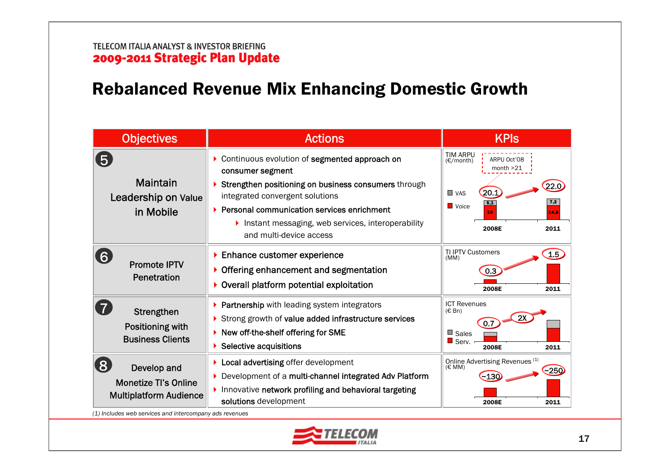# Rebalanced Revenue Mix Enhancing Domestic Growth

| <b>Objectives</b>                                                                                                                                 | <b>Actions</b>                                                                                                                                                                                                                                                                               | <b>KPIs</b>                                                                                                                                    |
|---------------------------------------------------------------------------------------------------------------------------------------------------|----------------------------------------------------------------------------------------------------------------------------------------------------------------------------------------------------------------------------------------------------------------------------------------------|------------------------------------------------------------------------------------------------------------------------------------------------|
| 5 <sub>5</sub><br><b>Maintain</b><br>Leadership on Value<br>in Mobile                                                                             | Continuous evolution of segmented approach on<br>consumer segment<br>Strengthen positioning on business consumers through<br>integrated convergent solutions<br>▶ Personal communication services enrichment<br>Instant messaging, web services, interoperability<br>and multi-device access | <b>TIM ARPU</b><br>ARPU Oct'08<br>(E/month)<br>month $>21$<br>20.1<br>$\blacksquare$ VAS<br>7,2<br>5,1<br>Voice<br>14.8<br>15<br>2011<br>2008E |
| $\mathbf{6}$<br><b>Promote IPTV</b><br>Penetration                                                                                                | Enhance customer experience<br>Offering enhancement and segmentation<br>Overall platform potential exploitation                                                                                                                                                                              | <b>TI IPTV Customers</b><br>1.5<br>(MM)<br>0.3<br>2008E<br>2011                                                                                |
| $\overline{7}$<br>Strengthen<br>Positioning with<br><b>Business Clients</b>                                                                       | Partnership with leading system integrators<br>Strong growth of value added infrastructure services<br>New off-the-shelf offering for SME<br>Selective acquisitions                                                                                                                          | <b>ICT Revenues</b><br>$(E \, Bn)$<br>0.7<br>$\blacksquare$ Sales<br>Serv.<br>2008E<br>2011                                                    |
| $\bf 8$<br>Develop and<br><b>Monetize Tl's Online</b><br><b>Multiplatform Audience</b><br>(1) Includes web services and intercompany ads revenues | Local advertising offer development<br>Development of a multi-channel integrated Adv Platform<br>Innovative network profiling and behavioral targeting<br>solutions development                                                                                                              | Online Advertising Revenues (1)<br>(E MM)<br>~250<br>2008E<br>2011                                                                             |

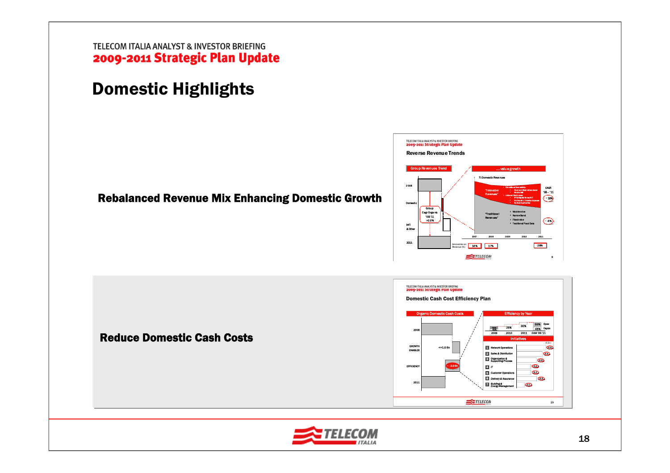# Domestic Highlights

### Rebalanced Revenue Mix Enhancing Domestic Growth





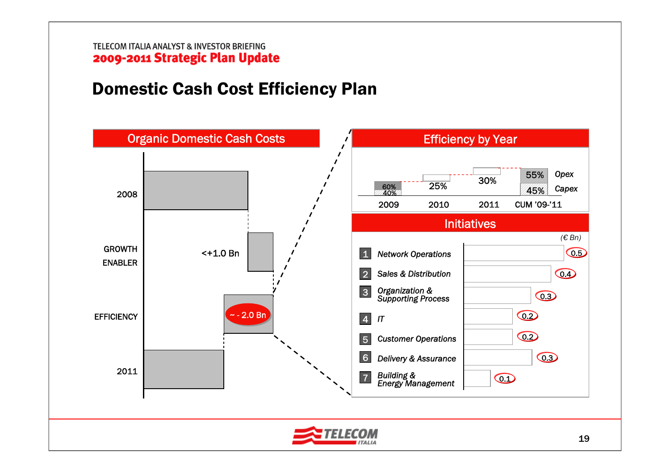# Domestic Cash Cost Efficiency Plan

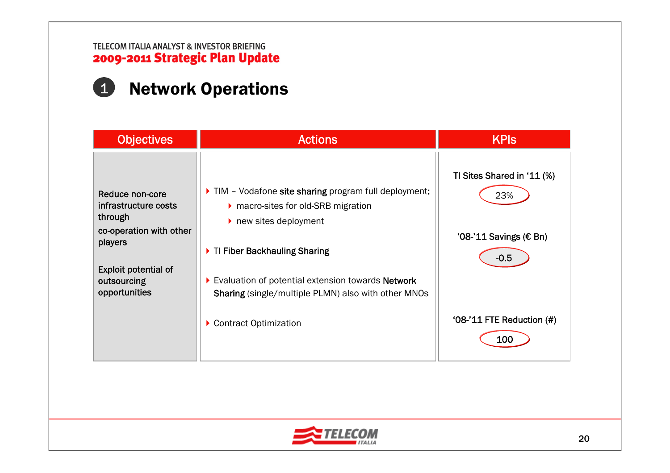# 1 Network Operations

| <b>Objectives</b>                                                                                                                                       | <b>Actions</b>                                                                                                                                                                                                                                                                                                                | <b>KPIS</b>                                                                                                  |
|---------------------------------------------------------------------------------------------------------------------------------------------------------|-------------------------------------------------------------------------------------------------------------------------------------------------------------------------------------------------------------------------------------------------------------------------------------------------------------------------------|--------------------------------------------------------------------------------------------------------------|
| Reduce non-core<br>infrastructure costs<br>through<br>co-operation with other<br>players<br><b>Exploit potential of</b><br>outsourcing<br>opportunities | IM - Vodafone site sharing program full deployment:<br>▶ macro-sites for old-SRB migration<br>$\blacktriangleright$ new sites deployment<br>▶ TI Fiber Backhauling Sharing<br>Evaluation of potential extension towards Network<br><b>Sharing</b> (single/multiple PLMN) also with other MNOs<br><b>Contract Optimization</b> | TI Sites Shared in '11 (%)<br>23%<br>'08-'11 Savings (€ Bn)<br>$-0.5$<br>'08-'11 FTE Reduction $(\#)$<br>100 |

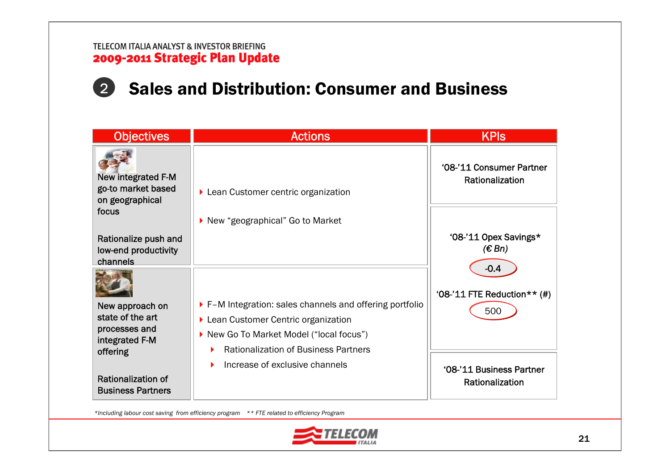# 2 Sales and Distribution: Consumer and Business

| <b>Objectives</b>                                                           | <b>Actions</b>                                         | <b>KPIS</b>                                 |
|-----------------------------------------------------------------------------|--------------------------------------------------------|---------------------------------------------|
| <b>New integrated F-M</b><br>go-to market based<br>on geographical<br>focus | ▶ Lean Customer centric organization                   | '08-'11 Consumer Partner<br>Rationalization |
|                                                                             | ▶ New "geographical" Go to Market                      |                                             |
| Rationalize push and<br>low-end productivity<br>channels                    |                                                        | '08-'11 Opex Savings*<br>(E Bn)             |
|                                                                             |                                                        | $-0.4$                                      |
|                                                                             |                                                        | '08-'11 FTE Reduction ** $(\#)$             |
| New approach on<br>state of the art                                         | F-M Integration: sales channels and offering portfolio | 500                                         |
| processes and                                                               | ▶ Lean Customer Centric organization                   |                                             |
| integrated F-M                                                              | ▶ New Go To Market Model ("local focus")               |                                             |
| offering                                                                    | <b>Rationalization of Business Partners</b>            |                                             |
|                                                                             | Increase of exclusive channels                         | '08-'11 Business Partner                    |
| Rationalization of<br><b>Business Partners</b>                              |                                                        | Rationalization                             |

*\*Including labour cost saving from efficiency program \*\* FTE related to efficiency Program*

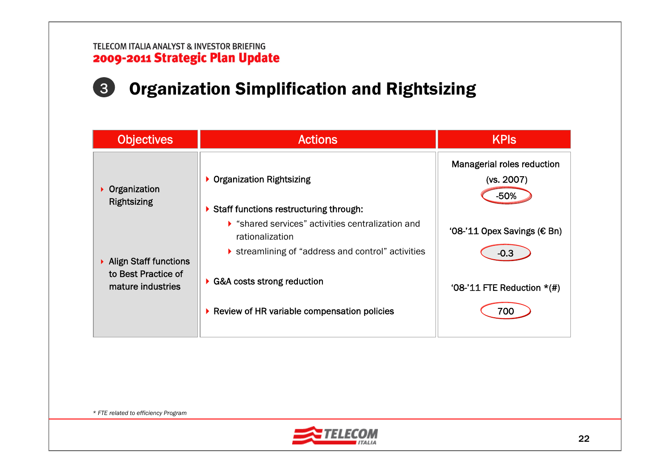# Organization Simplification and Rightsizing 3

| <b>Objectives</b>                        | <b>Actions</b>                                                                               | <b>KPIS</b>                                        |
|------------------------------------------|----------------------------------------------------------------------------------------------|----------------------------------------------------|
| Organization<br><b>Rightsizing</b>       | ▶ Organization Rightsizing                                                                   | Managerial roles reduction<br>(vs. 2007)<br>$-50%$ |
|                                          | Staff functions restructuring through:                                                       |                                                    |
|                                          | Shared services" activities centralization and<br>rationalization                            | '08-'11 Opex Savings ( $\epsilon$ Bn)              |
| ▶ Align Staff functions                  | Streamlining of "address and control" activities                                             | $-0.3$                                             |
| to Best Practice of<br>mature industries | $\triangleright$ G&A costs strong reduction<br>▶ Review of HR variable compensation policies | '08-'11 FTE Reduction $*(\#)$<br>700               |
|                                          |                                                                                              |                                                    |

*\* FTE related to efficiency Program*

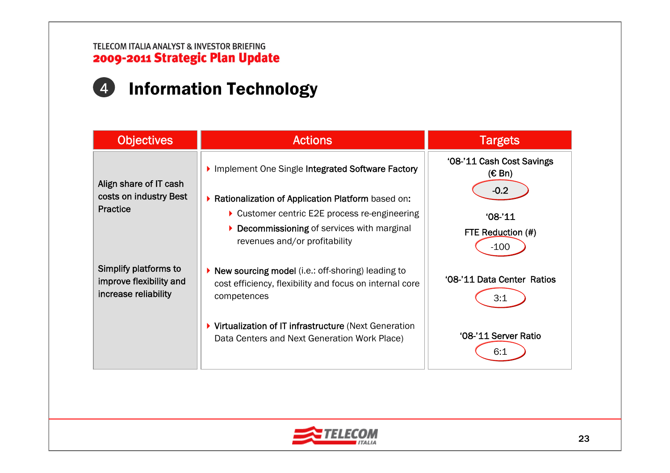# 4 Information Technology

| <b>Objectives</b>                                                        | <b>Actions</b>                                                                                                                | <b>Targets</b>                           |
|--------------------------------------------------------------------------|-------------------------------------------------------------------------------------------------------------------------------|------------------------------------------|
| Align share of IT cash                                                   | Implement One Single Integrated Software Factory                                                                              | '08-'11 Cash Cost Savings<br>$(E \, Bn)$ |
| costs on industry Best<br><b>Practice</b>                                | Rationalization of Application Platform based on:                                                                             | $-0.2$                                   |
|                                                                          | ▶ Customer centric E2E process re-engineering                                                                                 | $'08-'11$                                |
|                                                                          | Decommissioning of services with marginal<br>▶<br>revenues and/or profitability                                               | FTE Reduction (#)<br>$-100$              |
| Simplify platforms to<br>improve flexibility and<br>increase reliability | ▶ New sourcing model (i.e.: off-shoring) leading to<br>cost efficiency, flexibility and focus on internal core<br>competences | '08-'11 Data Center Ratios<br>3:1        |
|                                                                          | ▶ Virtualization of IT infrastructure (Next Generation<br>Data Centers and Next Generation Work Place)                        | '08-'11 Server Ratio<br>6:1              |

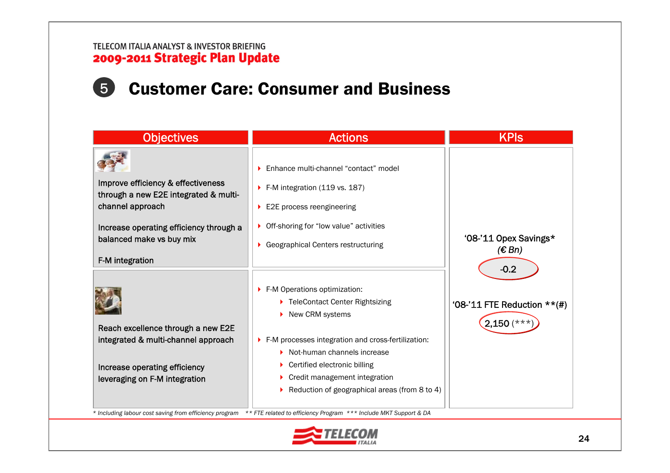# 5 Customer Care: Consumer and Business

| <b>Objectives</b>                                                                                                                                                                         | <b>Actions</b>                                                                                                                                                                                                                                                                                                                                                                   | <b>KPIs</b>                                              |
|-------------------------------------------------------------------------------------------------------------------------------------------------------------------------------------------|----------------------------------------------------------------------------------------------------------------------------------------------------------------------------------------------------------------------------------------------------------------------------------------------------------------------------------------------------------------------------------|----------------------------------------------------------|
| Improve efficiency & effectiveness<br>through a new E2E integrated & multi-<br>channel approach<br>Increase operating efficiency through a<br>balanced make vs buy mix<br>F-M integration | ▶ Enhance multi-channel "contact" model<br>F-M integration $(119 \text{ vs. } 187)$<br>$\blacktriangleright$ E2E process reengineering<br>• Off-shoring for "low value" activities<br>▶ Geographical Centers restructuring                                                                                                                                                       | '08-'11 Opex Savings*<br>(E Bn)                          |
| Reach excellence through a new E2E<br>integrated & multi-channel approach<br>Increase operating efficiency<br>leveraging on F-M integration                                               | F-M Operations optimization:<br>▶ TeleContact Center Rightsizing<br>New CRM systems<br>F-M processes integration and cross-fertilization:<br>$\triangleright$ Not-human channels increase<br>Certified electronic billing<br>Credit management integration<br>Reduction of geographical areas (from 8 to 4)<br>** FTE related to efficiency Program *** Include MKT Support & DA | $-0.2$<br>'08-'11 FTE Reduction $**$ (#)<br>$2,150$ (*** |
| * Including labour cost saving from efficiency program                                                                                                                                    |                                                                                                                                                                                                                                                                                                                                                                                  |                                                          |

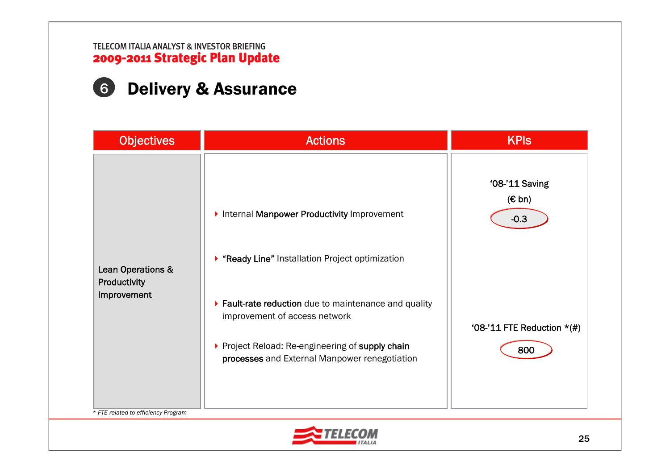# 6 Delivery & Assurance

| <b>Objectives</b>                                | <b>Actions</b>                                                                                                                                                                              | <b>KPIS</b>                             |
|--------------------------------------------------|---------------------------------------------------------------------------------------------------------------------------------------------------------------------------------------------|-----------------------------------------|
|                                                  | Internal Manpower Productivity Improvement<br>▶ "Ready Line" Installation Project optimization                                                                                              | '08-'11 Saving<br>$(E \, bn)$<br>$-0.3$ |
| Lean Operations &<br>Productivity<br>Improvement | ▶ Fault-rate reduction due to maintenance and quality<br>improvement of access network<br>▶ Project Reload: Re-engineering of supply chain<br>processes and External Manpower renegotiation | '08-'11 FTE Reduction $*(\#)$<br>800    |
| * FTE related to efficiency Program              |                                                                                                                                                                                             |                                         |

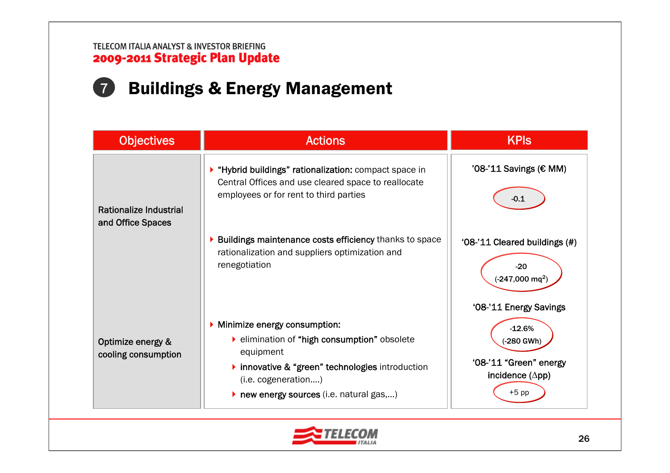# 7 Buildings & Energy Management

| <b>Objectives</b>                           | <b>Actions</b>                                                                                                                                                                                                                                                      | <b>KPIS</b>                                                                                   |
|---------------------------------------------|---------------------------------------------------------------------------------------------------------------------------------------------------------------------------------------------------------------------------------------------------------------------|-----------------------------------------------------------------------------------------------|
| Rationalize Industrial<br>and Office Spaces | ▶ "Hybrid buildings" rationalization: compact space in<br>Central Offices and use cleared space to reallocate<br>employees or for rent to third parties                                                                                                             | '08-'11 Savings (€ MM)<br>-0.1                                                                |
|                                             | Buildings maintenance costs efficiency thanks to space<br>rationalization and suppliers optimization and<br>renegotiation                                                                                                                                           | '08-'11 Cleared buildings (#)<br>$-20$<br>$(-247,000 \text{ mq}^2)$<br>'08-'11 Energy Savings |
| Optimize energy &<br>cooling consumption    | Minimize energy consumption:<br>lacktriangleright elimination and the elimination of "high consumption" obsolete<br>equipment<br>▶ innovative & "green" technologies introduction<br>(i.e. cogeneration)<br>$\triangleright$ new energy sources (i.e. natural gas,) | $-12.6%$<br>-280 GWh)<br>'08-'11 "Green" energy<br>incidence $(\Delta pp)$<br>$+5$ pp         |

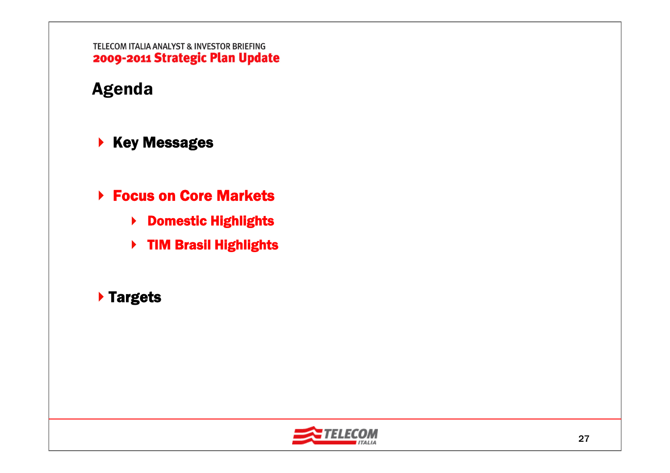# Agenda

- $\blacktriangleright$  Key Messages
- **▶ Focus on Core Markets** 
	- ▶ Domestic Highlights
	- ▶ TIM Brasil Highlights

### Targets

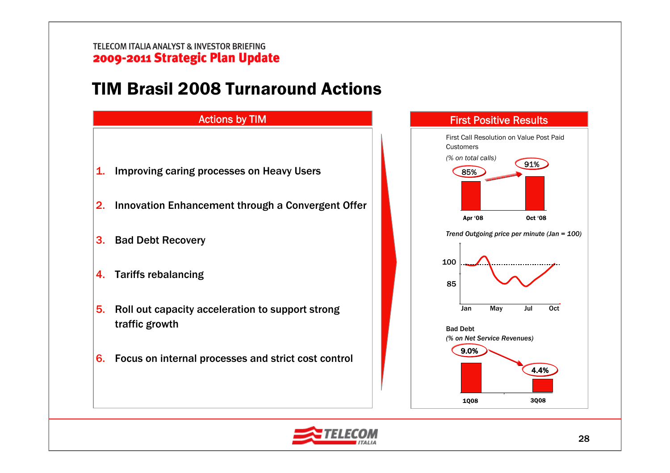# TIM Brasil 2008 Turnaround Actions





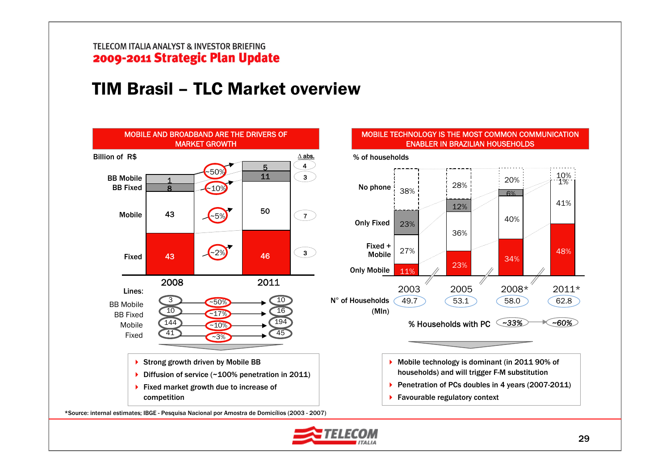# TIM Brasil – TLC Market overview



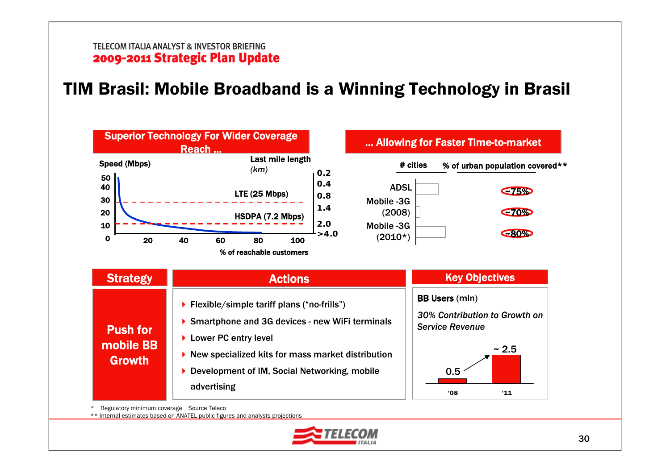# TIM Brasil: Mobile Broadband is a Winning Technology in Brasil



\* Regulatory minimum coverage Source Teleco

\*\* Internal estimates based on ANATEL public figures and analysts projections

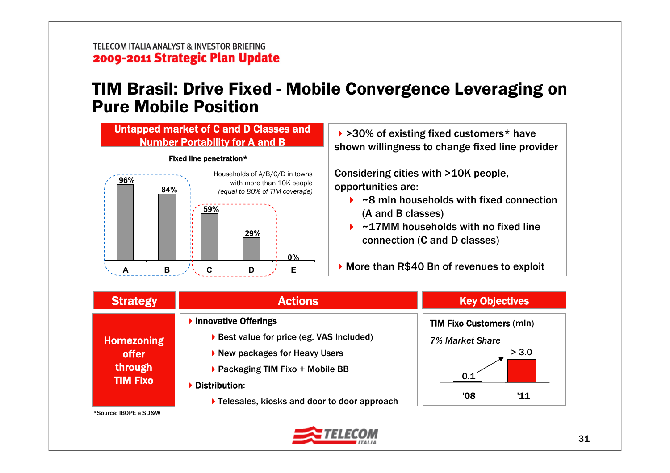### TIM Brasil: Drive Fixed - Mobile Convergence Leveraging on Pure Mobile Position



| <b>Strategy</b>                                                 | <b>Actions</b>                                                                                                                                                                                        | <b>Key Objectives</b>                                                               |
|-----------------------------------------------------------------|-------------------------------------------------------------------------------------------------------------------------------------------------------------------------------------------------------|-------------------------------------------------------------------------------------|
| <b>Homezoning</b><br><b>offer</b><br>through<br><b>TIM Fixo</b> | Innovative Offerings<br>▶ Best value for price (eg. VAS Included)<br>New packages for Heavy Users<br>▶ Packaging TIM Fixo + Mobile BB<br>Distribution:<br>Telesales, kiosks and door to door approach | <b>TIM Fixo Customers (mln)</b><br>7% Market Share<br>> 3.0<br>( )  1<br>'08<br>'11 |
| *Source: IBOPE e SD&W                                           |                                                                                                                                                                                                       |                                                                                     |

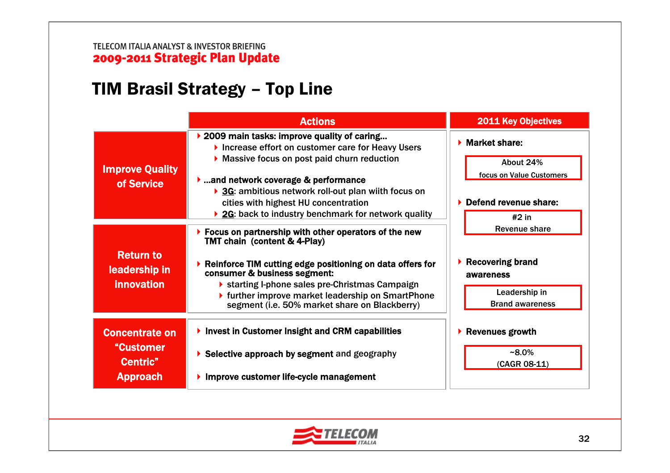# TIM Brasil Strategy – Top Line

|                                                                   | <b>Actions</b>                                                                                                                                                                                                                                                                                                                                                                          | <b>2011 Key Objectives</b>                                                                                  |
|-------------------------------------------------------------------|-----------------------------------------------------------------------------------------------------------------------------------------------------------------------------------------------------------------------------------------------------------------------------------------------------------------------------------------------------------------------------------------|-------------------------------------------------------------------------------------------------------------|
| <b>Improve Quality</b><br>of Service                              | ▶ 2009 main tasks: improve quality of caring<br>Increase effort on customer care for Heavy Users<br>Massive focus on post paid churn reduction<br>$\blacktriangleright$ and network coverage & performance<br>▶ 3G: ambitious network roll-out plan wiith focus on<br>cities with highest HU concentration<br>▶ 2G: back to industry benchmark for network quality                      | $\blacktriangleright$ Market share:<br>About 24%<br>focus on Value Customers<br>Defend revenue share:       |
| <b>Return to</b><br>leadership in<br><b>innovation</b>            | $\triangleright$ Focus on partnership with other operators of the new<br><b>TMT chain (content &amp; 4-Play)</b><br>$\triangleright$ Reinforce TIM cutting edge positioning on data offers for<br>consumer & business segment:<br>▶ starting I-phone sales pre-Christmas Campaign<br>▶ further improve market leadership on SmartPhone<br>segment (i.e. 50% market share on Blackberry) | $#2$ in<br><b>Revenue share</b><br>Recovering brand<br>awareness<br>Leadership in<br><b>Brand awareness</b> |
| <b>Concentrate on</b><br>"Customer<br>Centric"<br><b>Approach</b> | Invest in Customer Insight and CRM capabilities<br>$\triangleright$ Selective approach by segment and geography<br>Improve customer life-cycle management                                                                                                                                                                                                                               | <b>Revenues growth</b><br>▶<br>$~8.0\%$<br>(CAGR 08-11)                                                     |

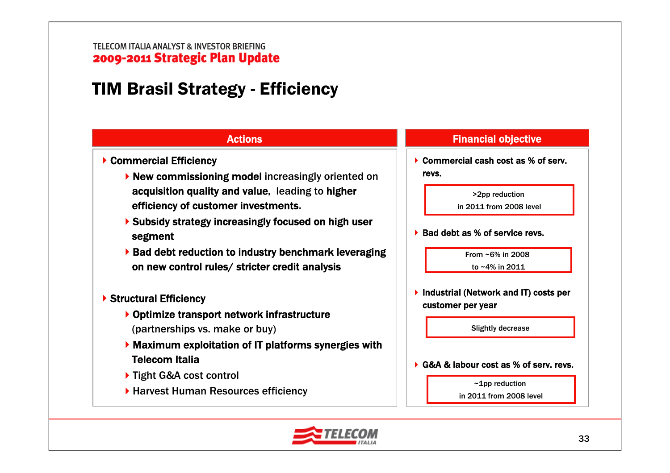# TIM Brasil Strategy - Efficiency



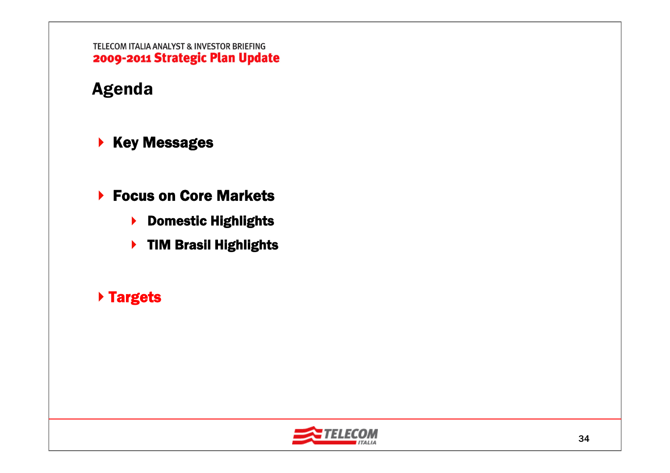# Agenda

- $\blacktriangleright$  Key Messages
- ▶ Focus on Core Markets
	- ▶ Domestic Highlights
	- ▶ TIM Brasil Highlights

### Targets

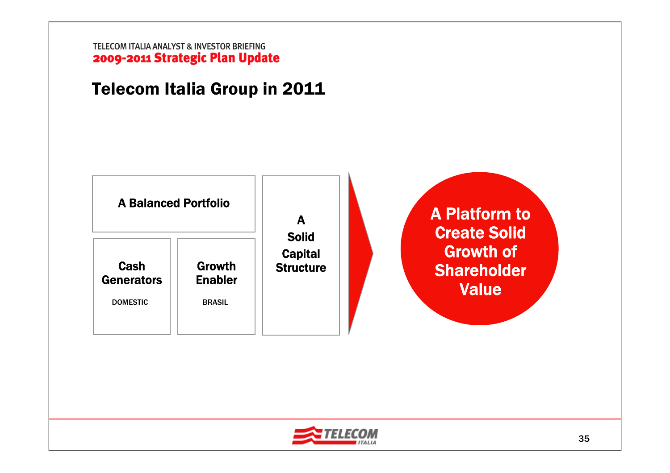# Telecom Italia Group in 2011



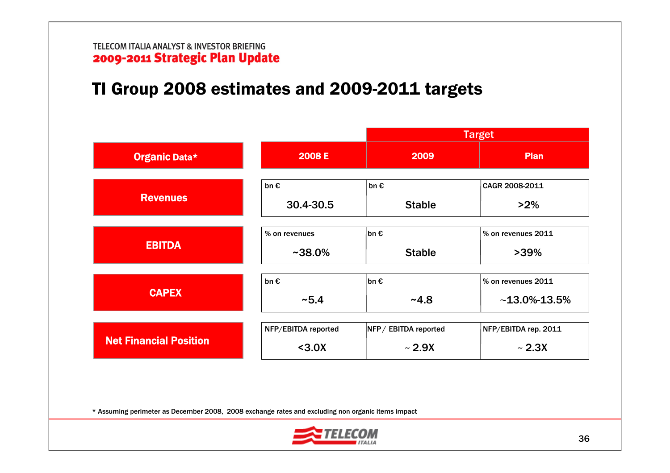# TI Group 2008 estimates and 2009-2011 targets

|                               |                     |                      | <b>Target</b>        |  |  |
|-------------------------------|---------------------|----------------------|----------------------|--|--|
| Organic Data*                 | 2008 E              | 2009                 | Plan                 |  |  |
|                               | $bn \in$            | $bn \in$             | CAGR 2008-2011       |  |  |
| <b>Revenues</b>               | 30.4-30.5           | <b>Stable</b>        | $>2\%$               |  |  |
|                               | % on revenues       | bn €                 | % on revenues 2011   |  |  |
| <b>EBITDA</b>                 | $~1438.0\%$         | <b>Stable</b>        | $>39\%$              |  |  |
|                               | $bn \in$            | bn €                 | % on revenues 2011   |  |  |
| <b>CAPEX</b>                  | ~5.4                | $-4.8$               | $~13.0\%$ -13.5%     |  |  |
|                               | NFP/EBITDA reported | NFP/ EBITDA reported | NFP/EBITDA rep. 2011 |  |  |
| <b>Net Financial Position</b> | < 3.0X              | $\sim$ 2.9X          | $\sim$ 2.3X          |  |  |

\* Assuming perimeter as December 2008, 2008 exchange rates and excluding non organic items impact

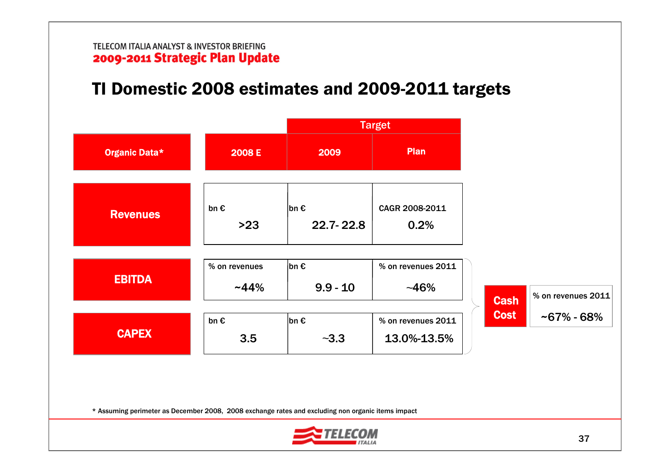# TI Domestic 2008 estimates and 2009-2011 targets

|                                                                                                   |                           | <b>Target</b>              |                                   |             |                                      |
|---------------------------------------------------------------------------------------------------|---------------------------|----------------------------|-----------------------------------|-------------|--------------------------------------|
| <b>Organic Data*</b>                                                                              | 2008 E                    | 2009                       | Plan                              |             |                                      |
| <b>Revenues</b>                                                                                   | $bn \in$<br>$>23$         | $ bn \in$<br>$22.7 - 22.8$ | CAGR 2008-2011<br>0.2%            |             |                                      |
| <b>EBITDA</b>                                                                                     | % on revenues<br>$~144\%$ | bn €<br>$9.9 - 10$         | % on revenues 2011<br>$-46%$      | <b>Cash</b> | % on revenues 2011<br>$-67\% - 68\%$ |
| <b>CAPEX</b>                                                                                      | $bn \in$<br>3.5           | $ bn \in$<br>$-3.3$        | % on revenues 2011<br>13.0%-13.5% | <b>Cost</b> |                                      |
| * Assuming perimeter as December 2008, 2008 exchange rates and excluding non organic items impact |                           |                            |                                   |             |                                      |